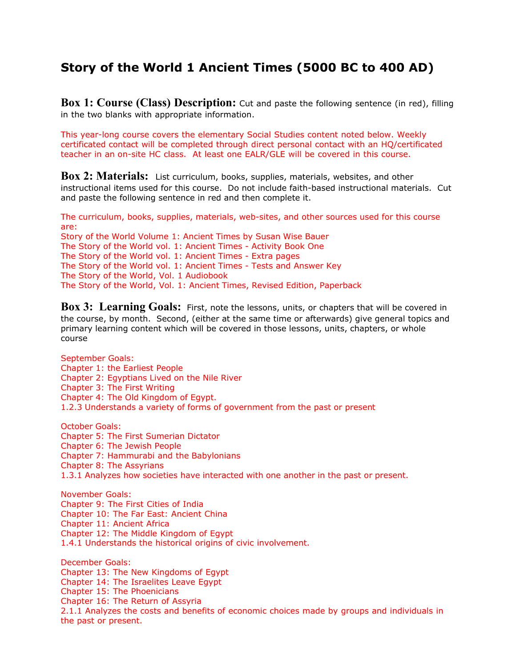## **Story of the World 1 Ancient Times (5000 BC to 400 AD)**

**Box 1: Course (Class) Description:** Cut and paste the following sentence (in red), filling in the two blanks with appropriate information.

This year-long course covers the elementary Social Studies content noted below. Weekly certificated contact will be completed through direct personal contact with an HQ/certificated teacher in an on-site HC class. At least one EALR/GLE will be covered in this course.

**Box 2: Materials:** List curriculum, books, supplies, materials, websites, and other instructional items used for this course. Do not include faith-based instructional materials. Cut and paste the following sentence in red and then complete it.

The curriculum, books, supplies, materials, web-sites, and other sources used for this course are: Story of the World Volume 1: Ancient Times by Susan Wise Bauer The Story of the World vol. 1: Ancient Times - Activity Book One The Story of the World vol. 1: Ancient Times - Extra pages The Story of the World vol. 1: Ancient Times - Tests and Answer Key The Story of the World, Vol. 1 Audiobook The Story of the World, Vol. 1: Ancient Times, Revised Edition, Paperback

**Box 3: Learning Goals:** First, note the lessons, units, or chapters that will be covered in the course, by month. Second, (either at the same time or afterwards) give general topics and primary learning content which will be covered in those lessons, units, chapters, or whole course

September Goals: Chapter 1: the Earliest People Chapter 2: Egyptians Lived on the Nile River Chapter 3: The First Writing Chapter 4: The Old Kingdom of Egypt. 1.2.3 Understands a variety of forms of government from the past or present October Goals: Chapter 5: The First Sumerian Dictator Chapter 6: The Jewish People Chapter 7: Hammurabi and the Babylonians Chapter 8: The Assyrians 1.3.1 Analyzes how societies have interacted with one another in the past or present. November Goals: Chapter 9: The First Cities of India Chapter 10: The Far East: Ancient China Chapter 11: Ancient Africa Chapter 12: The Middle Kingdom of Egypt 1.4.1 Understands the historical origins of civic involvement. December Goals: Chapter 13: The New Kingdoms of Egypt Chapter 14: The Israelites Leave Egypt Chapter 15: The Phoenicians

Chapter 16: The Return of Assyria

2.1.1 Analyzes the costs and benefits of economic choices made by groups and individuals in the past or present.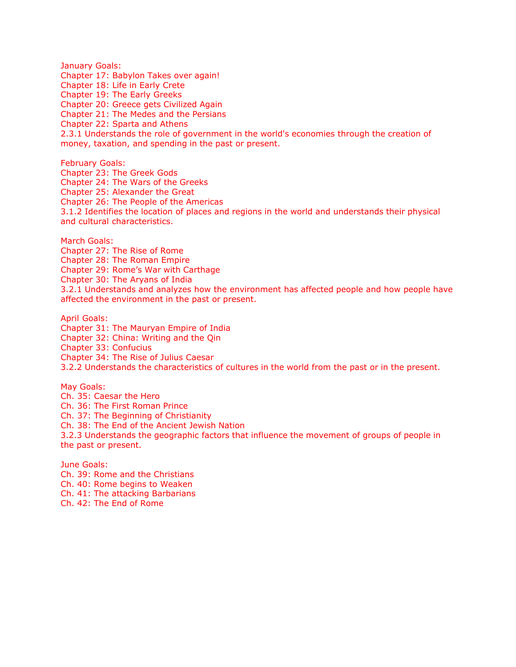January Goals: Chapter 17: Babylon Takes over again! Chapter 18: Life in Early Crete Chapter 19: The Early Greeks Chapter 20: Greece gets Civilized Again Chapter 21: The Medes and the Persians Chapter 22: Sparta and Athens 2.3.1 Understands the role of government in the world's economies through the creation of money, taxation, and spending in the past or present.

February Goals: Chapter 23: The Greek Gods Chapter 24: The Wars of the Greeks Chapter 25: Alexander the Great Chapter 26: The People of the Americas 3.1.2 Identifies the location of places and regions in the world and understands their physical and cultural characteristics.

March Goals: Chapter 27: The Rise of Rome Chapter 28: The Roman Empire Chapter 29: Rome's War with Carthage Chapter 30: The Aryans of India 3.2.1 Understands and analyzes how the environment has affected people and how people have affected the environment in the past or present.

April Goals: Chapter 31: The Mauryan Empire of India Chapter 32: China: Writing and the Qin Chapter 33: Confucius Chapter 34: The Rise of Julius Caesar 3.2.2 Understands the characteristics of cultures in the world from the past or in the present.

May Goals: Ch. 35: Caesar the Hero Ch. 36: The First Roman Prince Ch. 37: The Beginning of Christianity Ch. 38: The End of the Ancient Jewish Nation

3.2.3 Understands the geographic factors that influence the movement of groups of people in the past or present.

June Goals: Ch. 39: Rome and the Christians Ch. 40: Rome begins to Weaken Ch. 41: The attacking Barbarians Ch. 42: The End of Rome